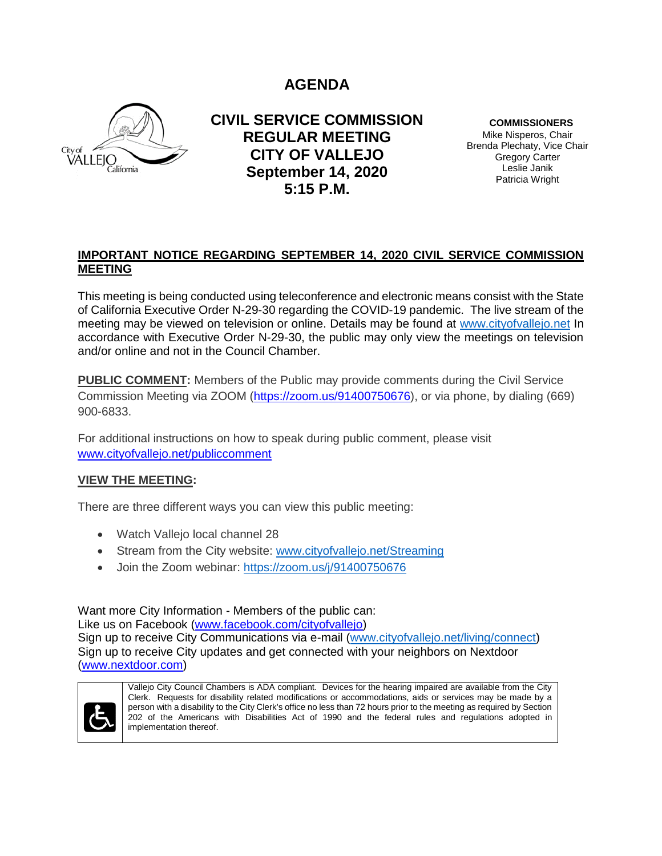**AGENDA**



**CIVIL SERVICE COMMISSION REGULAR MEETING CITY OF VALLEJO September 14, 2020 5:15 P.M.**

**COMMISSIONERS**

Mike Nisperos, Chair Brenda Plechaty, Vice Chair Gregory Carter Leslie Janik Patricia Wright

## **IMPORTANT NOTICE REGARDING SEPTEMBER 14, 2020 CIVIL SERVICE COMMISSION MEETING**

This meeting is being conducted using teleconference and electronic means consist with the State of California Executive Order N-29-30 regarding the COVID-19 pandemic. The live stream of the meeting may be viewed on television or online. Details may be found at [www.cityofvallejo.net](http://www.cityofvallejo.net/) In accordance with Executive Order N-29-30, the public may only view the meetings on television and/or online and not in the Council Chamber.

**PUBLIC COMMENT:** Members of the Public may provide comments during the Civil Service Commission Meeting via ZOOM [\(https://zoom.us/91400750676\)](https://zoom.us/91400750676), or via phone, by dialing (669) 900-6833.

For additional instructions on how to speak during public comment, please visit [www.cityofvallejo.net/publiccomment](http://www.cityofvallejo.net/publiccomment)

## **VIEW THE MEETING:**

There are three different ways you can view this public meeting:

- Watch Vallejo local channel 28
- Stream from the City website: [www.cityofvallejo.net/Streaming](http://www.cityofvallejo.net/meetings)
- Join the Zoom webinar: <https://zoom.us/j/91400750676>

Want more City Information - Members of the public can: Like us on Facebook [\(www.facebook.com/cityofvallejo\)](http://www.facebook.com/cityofvallejo) Sign up to receive City Communications via e-mail [\(www.cityofvallejo.net/living/connect\)](file:///C:/Users/PCHAVE/AppData/Local/Microsoft/Windows/Temporary%20Internet%20Files/Content.IE5/PNN066KU/www.cityofvallejo.net/living/connect) Sign up to receive City updates and get connected with your neighbors on Nextdoor [\(www.nextdoor.com\)](http://www.nextdoor.com/)



Vallejo City Council Chambers is ADA compliant. Devices for the hearing impaired are available from the City Clerk. Requests for disability related modifications or accommodations, aids or services may be made by a person with a disability to the City Clerk's office no less than 72 hours prior to the meeting as required by Section 202 of the Americans with Disabilities Act of 1990 and the federal rules and regulations adopted in implementation thereof.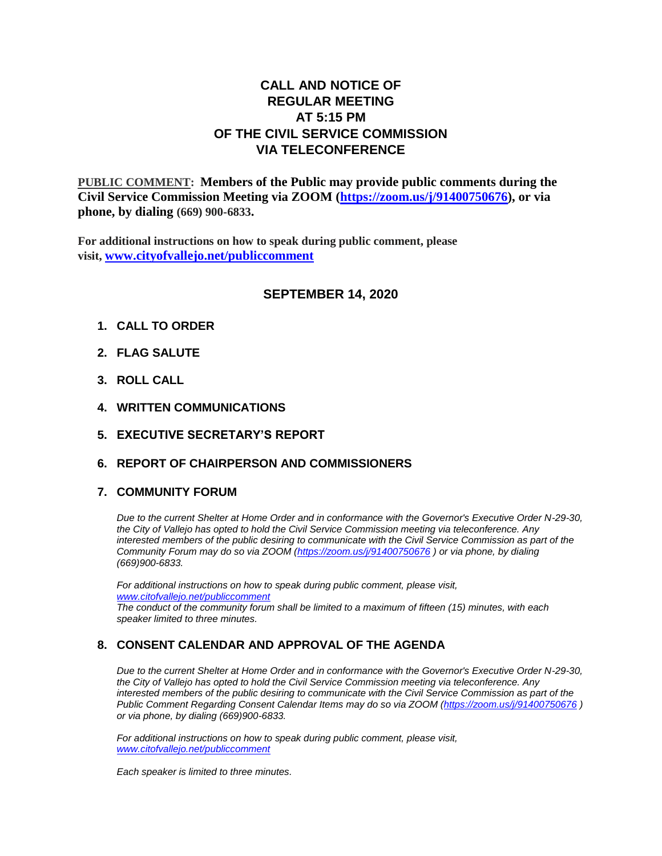## **CALL AND NOTICE OF REGULAR MEETING AT 5:15 PM OF THE CIVIL SERVICE COMMISSION VIA TELECONFERENCE**

**PUBLIC COMMENT: Members of the Public may provide public comments during the Civil Service Commission Meeting via ZOOM [\(https://zoom.us/j/91400750676\)](https://zoom.us/j/91400750676), or via phone, by dialing (669) 900-6833.**

**For additional instructions on how to speak during public comment, please visit, [www.cityofvallejo.net/publiccomment](http://www.cityofvallejo.net/publiccomment)**

#### **SEPTEMBER 14, 2020**

- **1. CALL TO ORDER**
- **2. FLAG SALUTE**
- **3. ROLL CALL**
- **4. WRITTEN COMMUNICATIONS**
- **5. EXECUTIVE SECRETARY'S REPORT**
- **6. REPORT OF CHAIRPERSON AND COMMISSIONERS**

#### **7. COMMUNITY FORUM**

*Due to the current Shelter at Home Order and in conformance with the Governor's Executive Order N-29-30, the City of Vallejo has opted to hold the Civil Service Commission meeting via teleconference. Any interested members of the public desiring to communicate with the Civil Service Commission as part of the Community Forum may do so via ZOOM [\(https://zoom.us/j/91400750676](https://zoom.us/j/91400750676) ) or via phone, by dialing (669)900-6833.*

*For additional instructions on how to speak during public comment, please visit, [www.citofvallejo.net/publiccomment](http://www.citofvallejo.net/publiccomment) The conduct of the community forum shall be limited to a maximum of fifteen (15) minutes, with each speaker limited to three minutes.*

### **8. CONSENT CALENDAR AND APPROVAL OF THE AGENDA**

*Due to the current Shelter at Home Order and in conformance with the Governor's Executive Order N-29-30, the City of Vallejo has opted to hold the Civil Service Commission meeting via teleconference. Any interested members of the public desiring to communicate with the Civil Service Commission as part of the Public Comment Regarding Consent Calendar Items may do so via ZOOM [\(https://zoom.us/j/91400750676](https://zoom.us/j/91400750676) ) or via phone, by dialing (669)900-6833.*

*For additional instructions on how to speak during public comment, please visit, [www.citofvallejo.net/publiccomment](http://www.citofvallejo.net/publiccomment)*

*Each speaker is limited to three minutes.*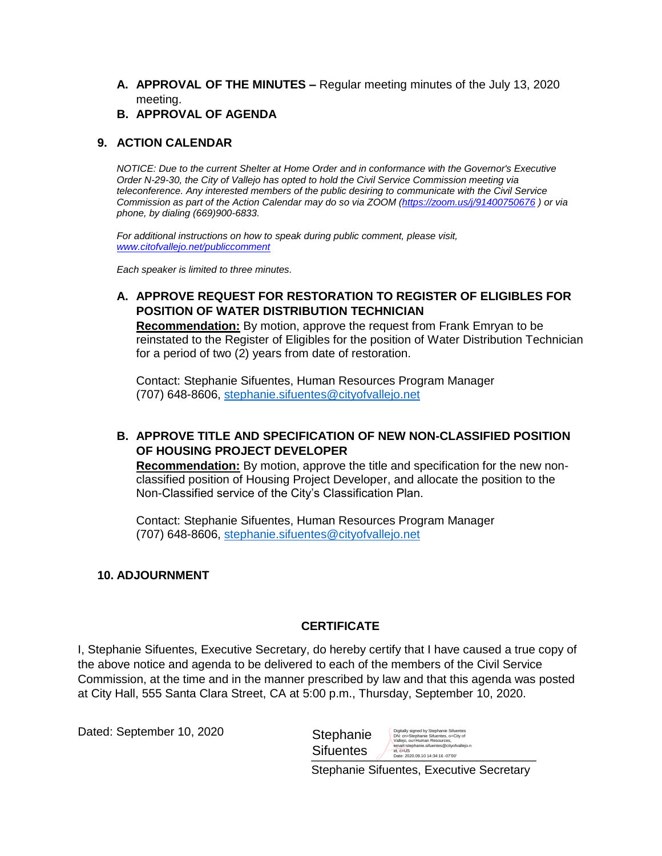- **A. APPROVAL OF THE MINUTES –** Regular meeting minutes of the July 13, 2020 meeting.
- **B. APPROVAL OF AGENDA**

## **9. ACTION CALENDAR**

*NOTICE: Due to the current Shelter at Home Order and in conformance with the Governor's Executive Order N-29-30, the City of Vallejo has opted to hold the Civil Service Commission meeting via teleconference. Any interested members of the public desiring to communicate with the Civil Service Commission as part of the Action Calendar may do so via ZOOM [\(https://zoom.us/j/91400750676](https://zoom.us/j/91400750676) ) or via phone, by dialing (669)900-6833.*

*For additional instructions on how to speak during public comment, please visit, [www.citofvallejo.net/publiccomment](http://www.citofvallejo.net/publiccomment)*

*Each speaker is limited to three minutes.*

## **A. APPROVE REQUEST FOR RESTORATION TO REGISTER OF ELIGIBLES FOR POSITION OF WATER DISTRIBUTION TECHNICIAN**

**Recommendation:** By motion, approve the request from Frank Emryan to be reinstated to the Register of Eligibles for the position of Water Distribution Technician for a period of two (2) years from date of restoration.

Contact: Stephanie Sifuentes, Human Resources Program Manager (707) 648-8606, [stephanie.sifuentes@cityofvallejo.net](mailto:stephanie.sifuentes@cityofvallejo.net)

## **B. APPROVE TITLE AND SPECIFICATION OF NEW NON-CLASSIFIED POSITION OF HOUSING PROJECT DEVELOPER**

**Recommendation:** By motion, approve the title and specification for the new nonclassified position of Housing Project Developer, and allocate the position to the Non-Classified service of the City's Classification Plan.

Contact: Stephanie Sifuentes, Human Resources Program Manager (707) 648-8606, [stephanie.sifuentes@cityofvallejo.net](mailto:stephanie.sifuentes@cityofvallejo.net)

### **10. ADJOURNMENT**

### **CERTIFICATE**

I, Stephanie Sifuentes, Executive Secretary, do hereby certify that I have caused a true copy of the above notice and agenda to be delivered to each of the members of the Civil Service Commission, at the time and in the manner prescribed by law and that this agenda was posted at City Hall, 555 Santa Clara Street, CA at 5:00 p.m., Thursday, September 10, 2020.

Dated: September 10, 2020

**Stephanie Sifuentes** Digitally signed by Stephanie Sifuentes<br>DN: cn=Stephanie Sifuentes, o=City of<br>Vallejo, ou=Human Resources,<br>email=stephanie.sifuentes@cityofvallejo.n<br>et, c=US<br>Date: 2020.09.10 14:34:16 -07'00'

 $\sum_{\text{Date: } 2020.09.10} \prod_{\text{4434:16-0700}} \prod_{\text{245}}$ 

Stephanie Sifuentes, Executive Secretary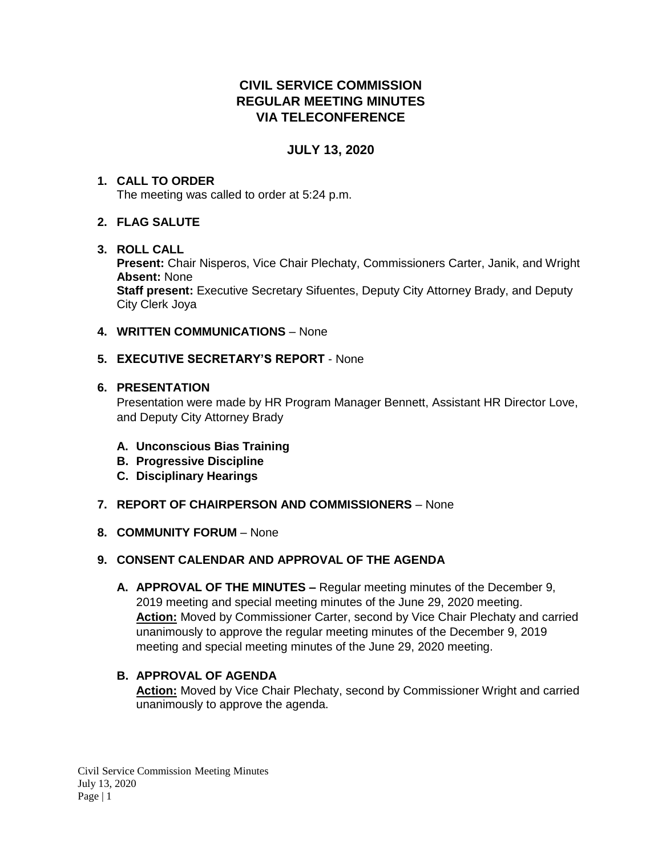# **CIVIL SERVICE COMMISSION REGULAR MEETING MINUTES VIA TELECONFERENCE**

## **JULY 13, 2020**

# **1. CALL TO ORDER**

The meeting was called to order at 5:24 p.m.

## **2. FLAG SALUTE**

## **3. ROLL CALL**

**Present:** Chair Nisperos, Vice Chair Plechaty, Commissioners Carter, Janik, and Wright **Absent:** None

**Staff present:** Executive Secretary Sifuentes, Deputy City Attorney Brady, and Deputy City Clerk Joya

### **4. WRITTEN COMMUNICATIONS** – None

## **5. EXECUTIVE SECRETARY'S REPORT** - None

### **6. PRESENTATION**

Presentation were made by HR Program Manager Bennett, Assistant HR Director Love, and Deputy City Attorney Brady

- **A. Unconscious Bias Training**
- **B. Progressive Discipline**
- **C. Disciplinary Hearings**
- **7. REPORT OF CHAIRPERSON AND COMMISSIONERS** None
- **8. COMMUNITY FORUM** None

## **9. CONSENT CALENDAR AND APPROVAL OF THE AGENDA**

**A. APPROVAL OF THE MINUTES –** Regular meeting minutes of the December 9, 2019 meeting and special meeting minutes of the June 29, 2020 meeting. **Action:** Moved by Commissioner Carter, second by Vice Chair Plechaty and carried unanimously to approve the regular meeting minutes of the December 9, 2019 meeting and special meeting minutes of the June 29, 2020 meeting.

## **B. APPROVAL OF AGENDA Action:** Moved by Vice Chair Plechaty, second by Commissioner Wright and carried unanimously to approve the agenda.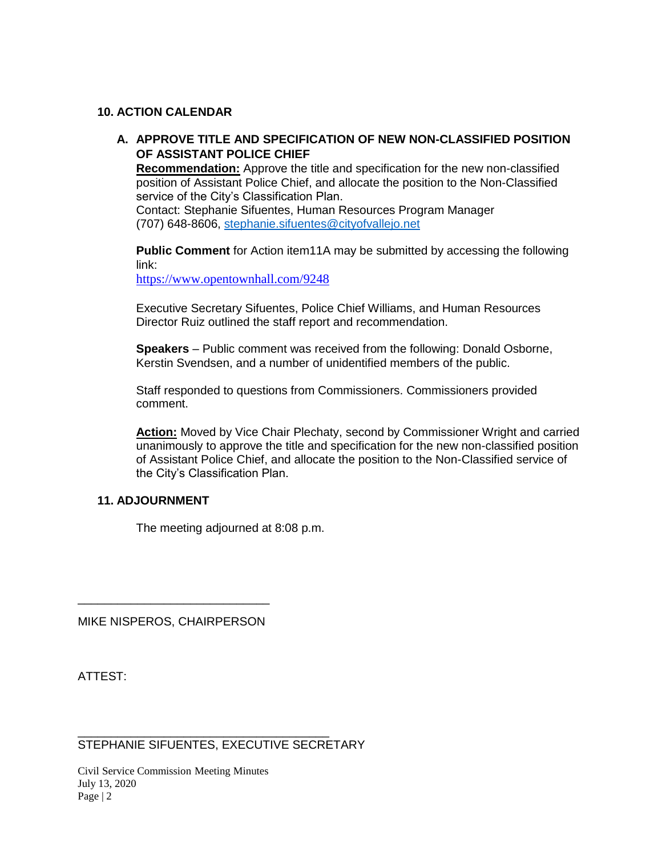### **10. ACTION CALENDAR**

## **A. APPROVE TITLE AND SPECIFICATION OF NEW NON-CLASSIFIED POSITION OF ASSISTANT POLICE CHIEF**

**Recommendation:** Approve the title and specification for the new non-classified position of Assistant Police Chief, and allocate the position to the Non-Classified service of the City's Classification Plan.

Contact: Stephanie Sifuentes, Human Resources Program Manager (707) 648-8606, [stephanie.sifuentes@cityofvallejo.net](mailto:stephanie.sifuentes@cityofvallejo.net)

**Public Comment** for Action item11A may be submitted by accessing the following link:

<https://www.opentownhall.com/9248>

Executive Secretary Sifuentes, Police Chief Williams, and Human Resources Director Ruiz outlined the staff report and recommendation.

**Speakers** – Public comment was received from the following: Donald Osborne, Kerstin Svendsen, and a number of unidentified members of the public.

Staff responded to questions from Commissioners. Commissioners provided comment.

**Action:** Moved by Vice Chair Plechaty, second by Commissioner Wright and carried unanimously to approve the title and specification for the new non-classified position of Assistant Police Chief, and allocate the position to the Non-Classified service of the City's Classification Plan.

### **11. ADJOURNMENT**

The meeting adjourned at 8:08 p.m.

MIKE NISPEROS, CHAIRPERSON

\_\_\_\_\_\_\_\_\_\_\_\_\_\_\_\_\_\_\_\_\_\_\_\_\_\_\_\_\_

ATTEST:

STEPHANIE SIFUENTES, EXECUTIVE SECRETARY

\_\_\_\_\_\_\_\_\_\_\_\_\_\_\_\_\_\_\_\_\_\_\_\_\_\_\_\_\_\_\_\_\_\_\_\_\_\_

Civil Service Commission Meeting Minutes July 13, 2020 Page  $|2$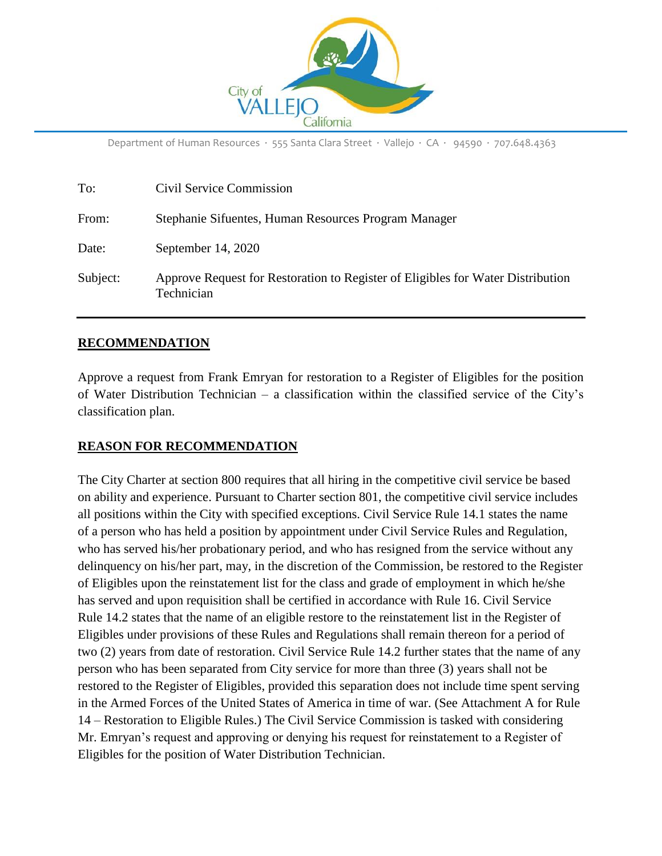

Department of Human Resources ∙ 555 Santa Clara Street ∙ Vallejo ∙ CA ∙ 94590 ∙ 707.648.4363

| To:      | Civil Service Commission                                                                      |
|----------|-----------------------------------------------------------------------------------------------|
| From:    | Stephanie Sifuentes, Human Resources Program Manager                                          |
| Date:    | September 14, 2020                                                                            |
| Subject: | Approve Request for Restoration to Register of Eligibles for Water Distribution<br>Technician |

#### **RECOMMENDATION**

Approve a request from Frank Emryan for restoration to a Register of Eligibles for the position of Water Distribution Technician – a classification within the classified service of the City's classification plan.

#### **REASON FOR RECOMMENDATION**

The City Charter at section 800 requires that all hiring in the competitive civil service be based on ability and experience. Pursuant to Charter section 801, the competitive civil service includes all positions within the City with specified exceptions. Civil Service Rule 14.1 states the name of a person who has held a position by appointment under Civil Service Rules and Regulation, who has served his/her probationary period, and who has resigned from the service without any delinquency on his/her part, may, in the discretion of the Commission, be restored to the Register of Eligibles upon the reinstatement list for the class and grade of employment in which he/she has served and upon requisition shall be certified in accordance with Rule 16. Civil Service Rule 14.2 states that the name of an eligible restore to the reinstatement list in the Register of Eligibles under provisions of these Rules and Regulations shall remain thereon for a period of two (2) years from date of restoration. Civil Service Rule 14.2 further states that the name of any person who has been separated from City service for more than three (3) years shall not be restored to the Register of Eligibles, provided this separation does not include time spent serving in the Armed Forces of the United States of America in time of war. (See Attachment A for Rule 14 – Restoration to Eligible Rules.) The Civil Service Commission is tasked with considering Mr. Emryan's request and approving or denying his request for reinstatement to a Register of Eligibles for the position of Water Distribution Technician.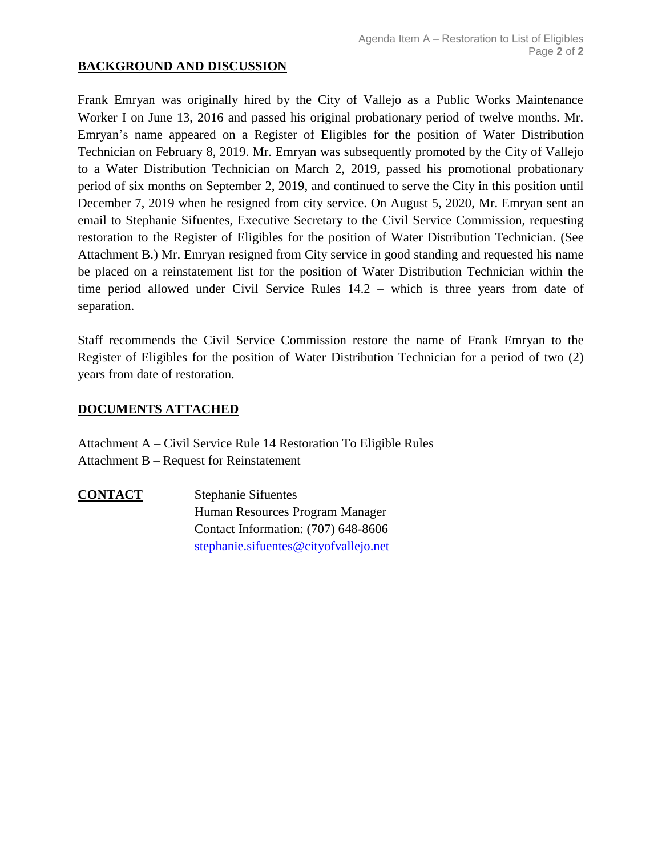## **BACKGROUND AND DISCUSSION**

Frank Emryan was originally hired by the City of Vallejo as a Public Works Maintenance Worker I on June 13, 2016 and passed his original probationary period of twelve months. Mr. Emryan's name appeared on a Register of Eligibles for the position of Water Distribution Technician on February 8, 2019. Mr. Emryan was subsequently promoted by the City of Vallejo to a Water Distribution Technician on March 2, 2019, passed his promotional probationary period of six months on September 2, 2019, and continued to serve the City in this position until December 7, 2019 when he resigned from city service. On August 5, 2020, Mr. Emryan sent an email to Stephanie Sifuentes, Executive Secretary to the Civil Service Commission, requesting restoration to the Register of Eligibles for the position of Water Distribution Technician. (See Attachment B.) Mr. Emryan resigned from City service in good standing and requested his name be placed on a reinstatement list for the position of Water Distribution Technician within the time period allowed under Civil Service Rules 14.2 – which is three years from date of separation.

Staff recommends the Civil Service Commission restore the name of Frank Emryan to the Register of Eligibles for the position of Water Distribution Technician for a period of two (2) years from date of restoration.

## **DOCUMENTS ATTACHED**

Attachment A – Civil Service Rule 14 Restoration To Eligible Rules Attachment B – Request for Reinstatement

**CONTACT** Stephanie Sifuentes Human Resources Program Manager Contact Information: (707) 648-8606 [stephanie.sifuentes@cityofvallejo.net](mailto:stephanie.sifuentes@cityofvallejo.net)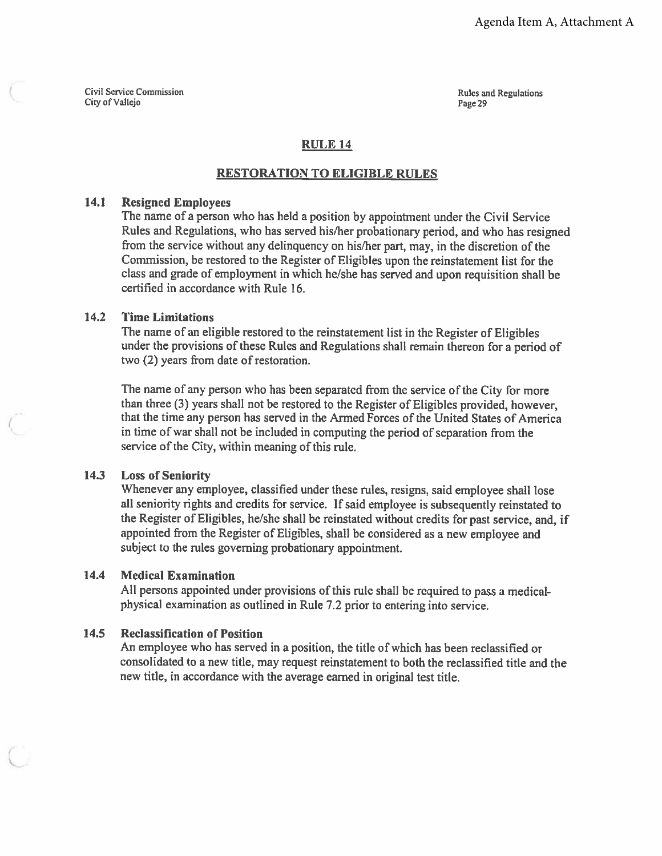Civil Service Commission City of Vallejo

**Rules and Regulations** Page 29

## **RULE 14**

#### **RESTORATION TO ELIGIBLE RULES**

#### $14.1$ **Resigned Employees**

The name of a person who has held a position by appointment under the Civil Service Rules and Regulations, who has served his/her probationary period, and who has resigned from the service without any delinquency on his/her part, may, in the discretion of the Commission, be restored to the Register of Eligibles upon the reinstatement list for the class and grade of employment in which he/she has served and upon requisition shall be certified in accordance with Rule 16.

#### $14.2$ **Time Limitations**

The name of an eligible restored to the reinstatement list in the Register of Eligibles under the provisions of these Rules and Regulations shall remain thereon for a period of two (2) years from date of restoration.

The name of any person who has been separated from the service of the City for more than three (3) years shall not be restored to the Register of Eligibles provided, however, that the time any person has served in the Armed Forces of the United States of America in time of war shall not be included in computing the period of separation from the service of the City, within meaning of this rule.

#### $14.3$ **Loss of Seniority**

Whenever any employee, classified under these rules, resigns, said employee shall lose all seniority rights and credits for service. If said employee is subsequently reinstated to the Register of Eligibles, he/she shall be reinstated without credits for past service, and, if appointed from the Register of Eligibles, shall be considered as a new employee and subject to the rules governing probationary appointment.

#### $14.4$ **Medical Examination**

All persons appointed under provisions of this rule shall be required to pass a medicalphysical examination as outlined in Rule 7.2 prior to entering into service.

#### **Reclassification of Position**  $14.5$

An employee who has served in a position, the title of which has been reclassified or consolidated to a new title, may request reinstatement to both the reclassified title and the new title, in accordance with the average earned in original test title.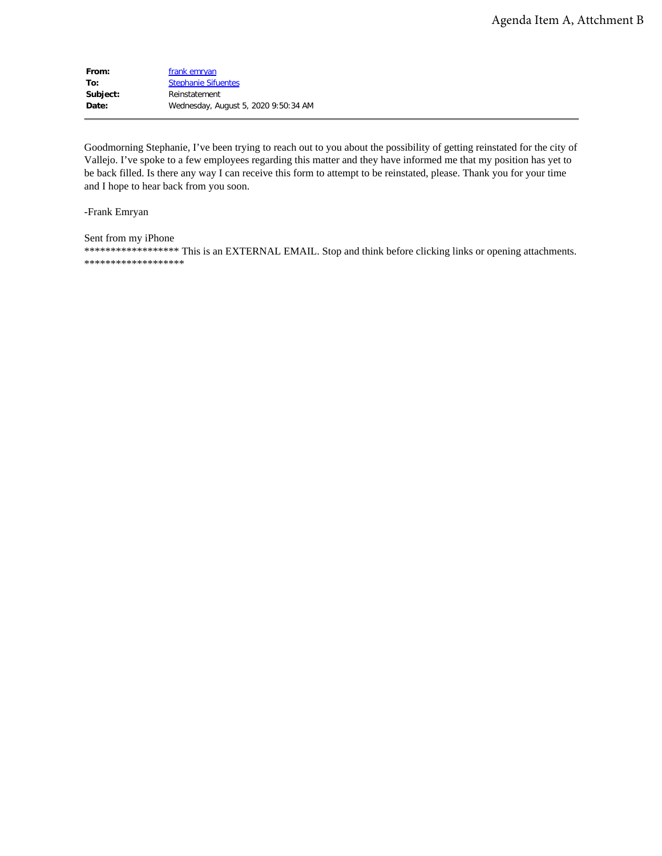| From:    | frank emryan                         |
|----------|--------------------------------------|
| To:      | <b>Stephanie Sifuentes</b>           |
| Subject: | Reinstatement                        |
| Date:    | Wednesday, August 5, 2020 9:50:34 AM |

Goodmorning Stephanie, I've been trying to reach out to you about the possibility of getting reinstated for the city of Vallejo. I've spoke to a few employees regarding this matter and they have informed me that my position has yet to be back filled. Is there any way I can receive this form to attempt to be reinstated, please. Thank you for your time and I hope to hear back from you soon.

-Frank Emryan

Sent from my iPhone \*\*\*\*\*\*\*\*\*\*\*\*\*\*\*\*\*\*\* This is an EXTERNAL EMAIL. Stop and think before clicking links or opening attachments. \*\*\*\*\*\*\*\*\*\*\*\*\*\*\*\*\*\*\*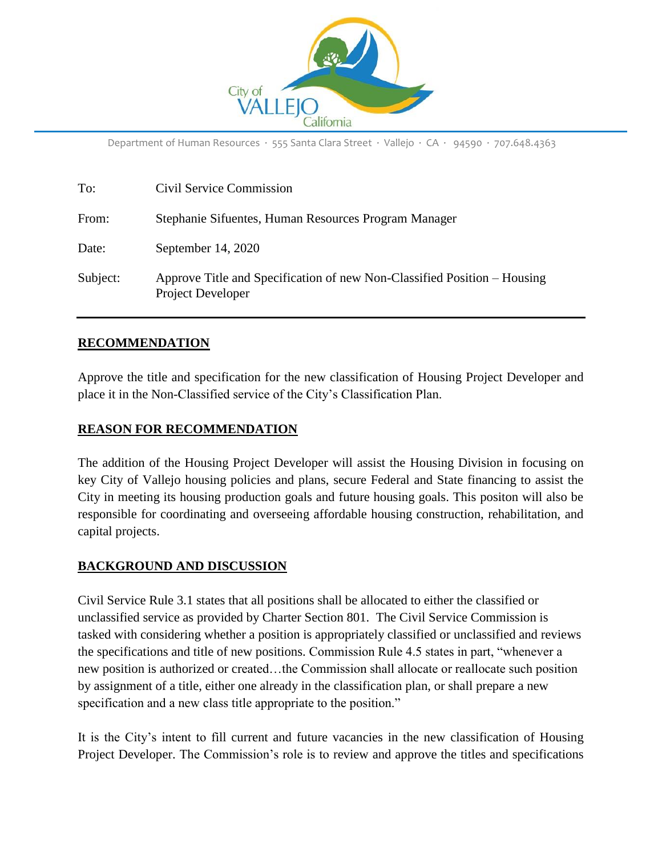

Department of Human Resources ∙ 555 Santa Clara Street ∙ Vallejo ∙ CA ∙ 94590 ∙ 707.648.4363

| To:      | Civil Service Commission                                                                             |
|----------|------------------------------------------------------------------------------------------------------|
| From:    | Stephanie Sifuentes, Human Resources Program Manager                                                 |
| Date:    | September 14, 2020                                                                                   |
| Subject: | Approve Title and Specification of new Non-Classified Position – Housing<br><b>Project Developer</b> |

## **RECOMMENDATION**

Approve the title and specification for the new classification of Housing Project Developer and place it in the Non-Classified service of the City's Classification Plan.

### **REASON FOR RECOMMENDATION**

The addition of the Housing Project Developer will assist the Housing Division in focusing on key City of Vallejo housing policies and plans, secure Federal and State financing to assist the City in meeting its housing production goals and future housing goals. This positon will also be responsible for coordinating and overseeing affordable housing construction, rehabilitation, and capital projects.

### **BACKGROUND AND DISCUSSION**

Civil Service Rule 3.1 states that all positions shall be allocated to either the classified or unclassified service as provided by Charter Section 801. The Civil Service Commission is tasked with considering whether a position is appropriately classified or unclassified and reviews the specifications and title of new positions. Commission Rule 4.5 states in part, "whenever a new position is authorized or created…the Commission shall allocate or reallocate such position by assignment of a title, either one already in the classification plan, or shall prepare a new specification and a new class title appropriate to the position."

It is the City's intent to fill current and future vacancies in the new classification of Housing Project Developer. The Commission's role is to review and approve the titles and specifications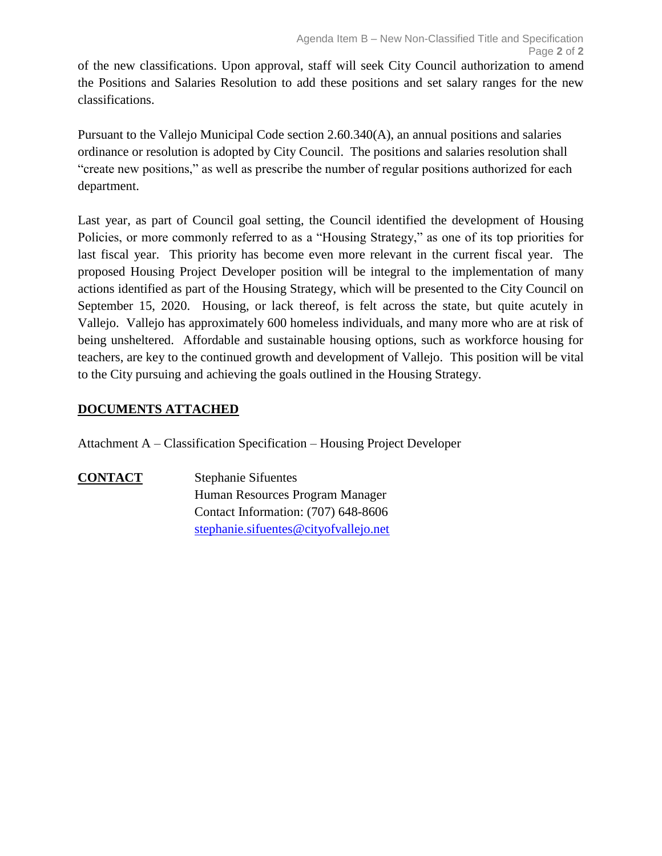of the new classifications. Upon approval, staff will seek City Council authorization to amend the Positions and Salaries Resolution to add these positions and set salary ranges for the new classifications.

Pursuant to the Vallejo Municipal Code section 2.60.340(A), an annual positions and salaries ordinance or resolution is adopted by City Council. The positions and salaries resolution shall "create new positions," as well as prescribe the number of regular positions authorized for each department.

Last year, as part of Council goal setting, the Council identified the development of Housing Policies, or more commonly referred to as a "Housing Strategy," as one of its top priorities for last fiscal year. This priority has become even more relevant in the current fiscal year. The proposed Housing Project Developer position will be integral to the implementation of many actions identified as part of the Housing Strategy, which will be presented to the City Council on September 15, 2020. Housing, or lack thereof, is felt across the state, but quite acutely in Vallejo. Vallejo has approximately 600 homeless individuals, and many more who are at risk of being unsheltered. Affordable and sustainable housing options, such as workforce housing for teachers, are key to the continued growth and development of Vallejo. This position will be vital to the City pursuing and achieving the goals outlined in the Housing Strategy.

# **DOCUMENTS ATTACHED**

Attachment A – Classification Specification – Housing Project Developer

**CONTACT** Stephanie Sifuentes Human Resources Program Manager Contact Information: (707) 648-8606 [stephanie.sifuentes@cityofvallejo.net](mailto:stephanie.sifuentes@cityofvallejo.net)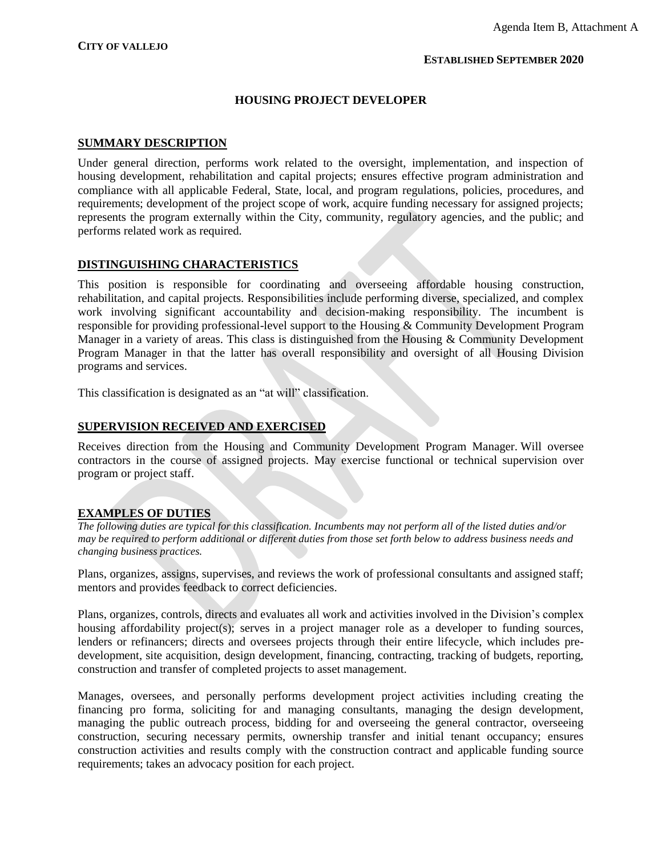#### **ESTABLISHED SEPTEMBER 2020**

#### **HOUSING PROJECT DEVELOPER**

#### **SUMMARY DESCRIPTION**

Under general direction, performs work related to the oversight, implementation, and inspection of housing development, rehabilitation and capital projects; ensures effective program administration and compliance with all applicable Federal, State, local, and program regulations, policies, procedures, and requirements; development of the project scope of work, acquire funding necessary for assigned projects; represents the program externally within the City, community, regulatory agencies, and the public; and performs related work as required.

#### **DISTINGUISHING CHARACTERISTICS**

This position is responsible for coordinating and overseeing affordable housing construction, rehabilitation, and capital projects. Responsibilities include performing diverse, specialized, and complex work involving significant accountability and decision-making responsibility. The incumbent is responsible for providing professional-level support to the Housing & Community Development Program Manager in a variety of areas. This class is distinguished from the Housing & Community Development Program Manager in that the latter has overall responsibility and oversight of all Housing Division programs and services.

This classification is designated as an "at will" classification.

#### **SUPERVISION RECEIVED AND EXERCISED**

Receives direction from the Housing and Community Development Program Manager. Will oversee contractors in the course of assigned projects. May exercise functional or technical supervision over program or project staff.

#### **EXAMPLES OF DUTIES**

*The following duties are typical for this classification. Incumbents may not perform all of the listed duties and/or may be required to perform additional or different duties from those set forth below to address business needs and changing business practices.*

Plans, organizes, assigns, supervises, and reviews the work of professional consultants and assigned staff; mentors and provides feedback to correct deficiencies.

Plans, organizes, controls, directs and evaluates all work and activities involved in the Division's complex housing affordability project(s); serves in a project manager role as a developer to funding sources, lenders or refinancers; directs and oversees projects through their entire lifecycle, which includes predevelopment, site acquisition, design development, financing, contracting, tracking of budgets, reporting, construction and transfer of completed projects to asset management.

Manages, oversees, and personally performs development project activities including creating the financing pro forma, soliciting for and managing consultants, managing the design development, managing the public outreach process, bidding for and overseeing the general contractor, overseeing construction, securing necessary permits, ownership transfer and initial tenant occupancy; ensures construction activities and results comply with the construction contract and applicable funding source requirements; takes an advocacy position for each project.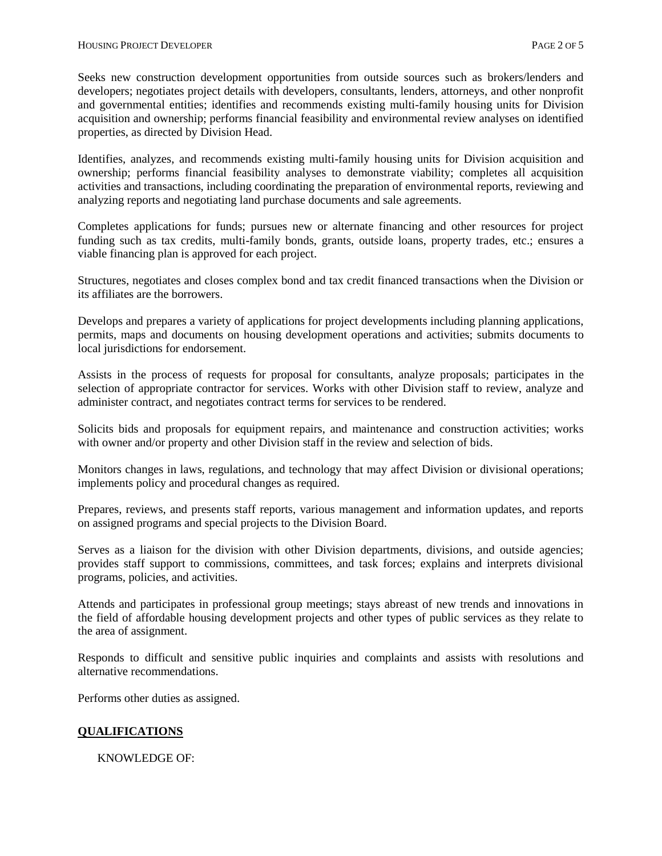Seeks new construction development opportunities from outside sources such as brokers/lenders and developers; negotiates project details with developers, consultants, lenders, attorneys, and other nonprofit and governmental entities; identifies and recommends existing multi-family housing units for Division acquisition and ownership; performs financial feasibility and environmental review analyses on identified properties, as directed by Division Head.

Identifies, analyzes, and recommends existing multi-family housing units for Division acquisition and ownership; performs financial feasibility analyses to demonstrate viability; completes all acquisition activities and transactions, including coordinating the preparation of environmental reports, reviewing and analyzing reports and negotiating land purchase documents and sale agreements.

Completes applications for funds; pursues new or alternate financing and other resources for project funding such as tax credits, multi-family bonds, grants, outside loans, property trades, etc.; ensures a viable financing plan is approved for each project.

Structures, negotiates and closes complex bond and tax credit financed transactions when the Division or its affiliates are the borrowers.

Develops and prepares a variety of applications for project developments including planning applications, permits, maps and documents on housing development operations and activities; submits documents to local jurisdictions for endorsement.

Assists in the process of requests for proposal for consultants, analyze proposals; participates in the selection of appropriate contractor for services. Works with other Division staff to review, analyze and administer contract, and negotiates contract terms for services to be rendered.

Solicits bids and proposals for equipment repairs, and maintenance and construction activities; works with owner and/or property and other Division staff in the review and selection of bids.

Monitors changes in laws, regulations, and technology that may affect Division or divisional operations; implements policy and procedural changes as required.

Prepares, reviews, and presents staff reports, various management and information updates, and reports on assigned programs and special projects to the Division Board.

Serves as a liaison for the division with other Division departments, divisions, and outside agencies; provides staff support to commissions, committees, and task forces; explains and interprets divisional programs, policies, and activities.

Attends and participates in professional group meetings; stays abreast of new trends and innovations in the field of affordable housing development projects and other types of public services as they relate to the area of assignment.

Responds to difficult and sensitive public inquiries and complaints and assists with resolutions and alternative recommendations.

Performs other duties as assigned.

#### **QUALIFICATIONS**

KNOWLEDGE OF: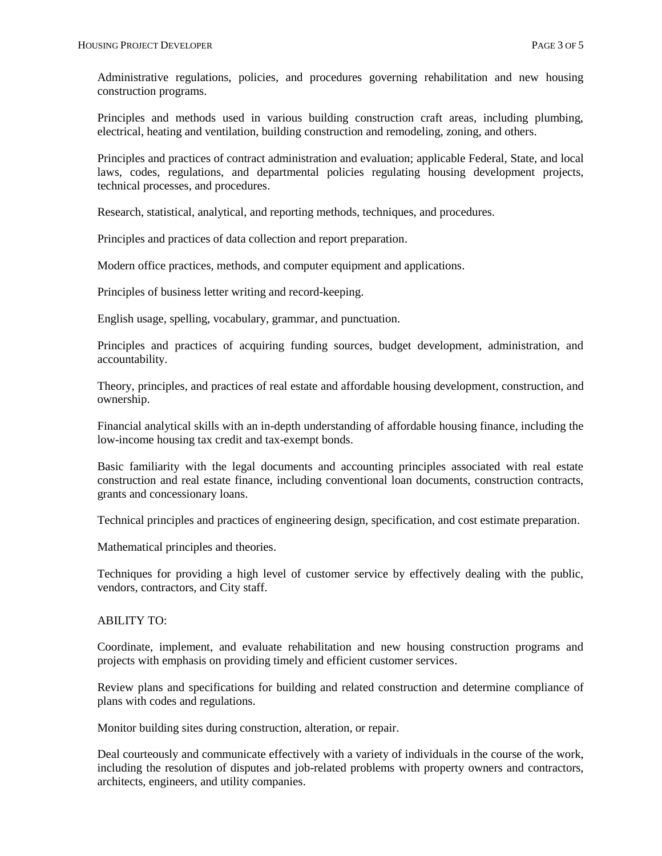Administrative regulations, policies, and procedures governing rehabilitation and new housing construction programs.

Principles and methods used in various building construction craft areas, including plumbing, electrical, heating and ventilation, building construction and remodeling, zoning, and others.

Principles and practices of contract administration and evaluation; applicable Federal, State, and local laws, codes, regulations, and departmental policies regulating housing development projects, technical processes, and procedures.

Research, statistical, analytical, and reporting methods, techniques, and procedures.

Principles and practices of data collection and report preparation.

Modern office practices, methods, and computer equipment and applications.

Principles of business letter writing and record-keeping.

English usage, spelling, vocabulary, grammar, and punctuation.

Principles and practices of acquiring funding sources, budget development, administration, and accountability.

Theory, principles, and practices of real estate and affordable housing development, construction, and ownership.

Financial analytical skills with an in-depth understanding of affordable housing finance, including the low-income housing tax credit and tax-exempt bonds.

Basic familiarity with the legal documents and accounting principles associated with real estate construction and real estate finance, including conventional loan documents, construction contracts, grants and concessionary loans.

Technical principles and practices of engineering design, specification, and cost estimate preparation.

Mathematical principles and theories.

Techniques for providing a high level of customer service by effectively dealing with the public, vendors, contractors, and City staff.

#### ABILITY TO:

Coordinate, implement, and evaluate rehabilitation and new housing construction programs and projects with emphasis on providing timely and efficient customer services.

Review plans and specifications for building and related construction and determine compliance of plans with codes and regulations.

Monitor building sites during construction, alteration, or repair.

Deal courteously and communicate effectively with a variety of individuals in the course of the work, including the resolution of disputes and job-related problems with property owners and contractors, architects, engineers, and utility companies.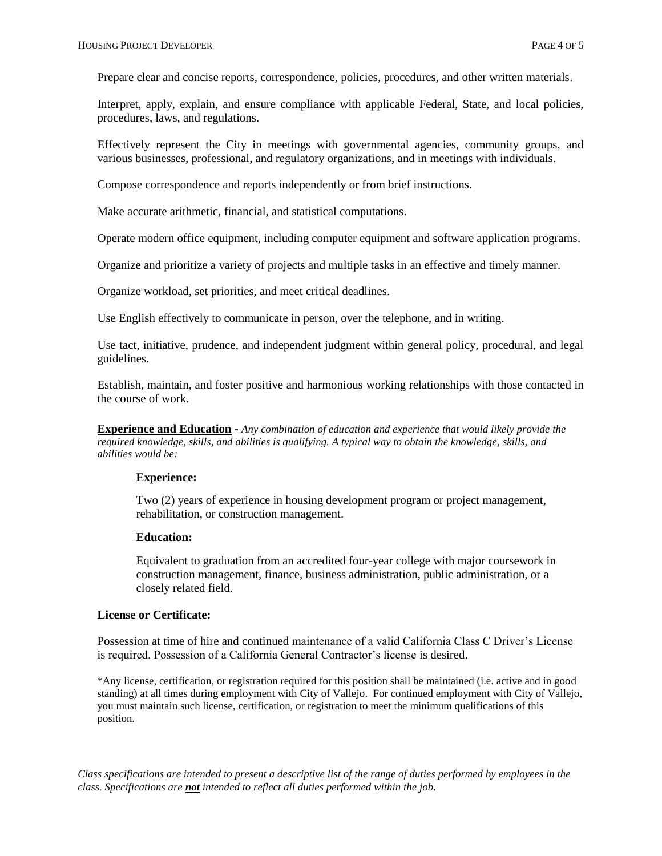Prepare clear and concise reports, correspondence, policies, procedures, and other written materials.

Interpret, apply, explain, and ensure compliance with applicable Federal, State, and local policies, procedures, laws, and regulations.

Effectively represent the City in meetings with governmental agencies, community groups, and various businesses, professional, and regulatory organizations, and in meetings with individuals.

Compose correspondence and reports independently or from brief instructions.

Make accurate arithmetic, financial, and statistical computations.

Operate modern office equipment, including computer equipment and software application programs.

Organize and prioritize a variety of projects and multiple tasks in an effective and timely manner.

Organize workload, set priorities, and meet critical deadlines.

Use English effectively to communicate in person, over the telephone, and in writing.

Use tact, initiative, prudence, and independent judgment within general policy, procedural, and legal guidelines.

Establish, maintain, and foster positive and harmonious working relationships with those contacted in the course of work.

**Experience and Education -** *Any combination of education and experience that would likely provide the required knowledge, skills, and abilities is qualifying. A typical way to obtain the knowledge, skills, and abilities would be:*

#### **Experience:**

Two (2) years of experience in housing development program or project management, rehabilitation, or construction management.

#### **Education:**

Equivalent to graduation from an accredited four-year college with major coursework in construction management, finance, business administration, public administration, or a closely related field.

#### **License or Certificate:**

Possession at time of hire and continued maintenance of a valid California Class C Driver's License is required. Possession of a California General Contractor's license is desired.

\*Any license, certification, or registration required for this position shall be maintained (i.e. active and in good standing) at all times during employment with City of Vallejo. For continued employment with City of Vallejo, you must maintain such license, certification, or registration to meet the minimum qualifications of this position.

*Class specifications are intended to present a descriptive list of the range of duties performed by employees in the class. Specifications are not intended to reflect all duties performed within the job.*